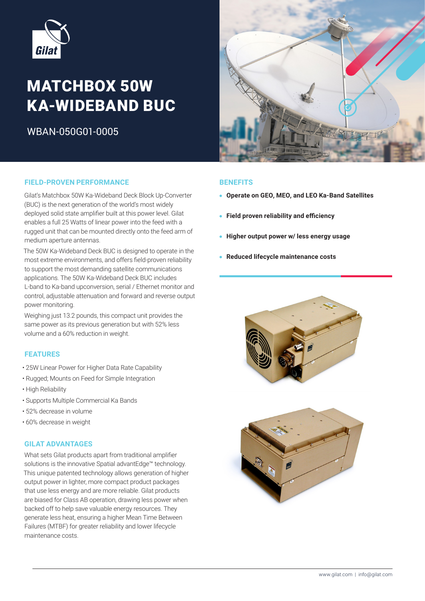

# **MATCHBOX 50W KA-WIDEBAND BUC**

WBAN-050G01-0005



# **PIELD-PROVEN-PERFORMANCE BENEFITS**

Gilat's Matchbox 50W Ka-Wideband Deck Block Up-Converter (BUC) is the next generation of the world's most widely deployed solid state amplifier built at this power level. Gilat enables a full 25 Watts of linear power into the feed with a rugged unit that can be mounted directly onto the feed arm of medium aperture antennas.

The 50W Ka-Wideband Deck BUC is designed to operate in the most extreme environments, and offers field-proven reliability to support the most demanding satellite communications applications. The 50W Ka-Wideband Deck BUC includes L-band to Ka-band upconversion, serial / Ethernet monitor and control, adjustable attenuation and forward and reverse output power monitoring.

Weighing just 13.2 pounds, this compact unit provides the same power as its previous generation but with 52% less volume and a 60% reduction in weight.

## **FEATURES**

- 25W Linear Power for Higher Data Rate Capability
- Rugged; Mounts on Feed for Simple Integration
- High Reliability
- Supports Multiple Commercial Ka Bands
- 52% decrease in volume
- 60% decrease in weight

#### **GILAT ADVANTAGES**

What sets Gilat products apart from traditional amplifier solutions is the innovative Spatial advantEdge<sup>™</sup> technology. This unique patented technology allows generation of higher output power in lighter, more compact product packages that use less energy and are more reliable. Gilat products are biased for Class AB operation, drawing less power when backed off to help save valuable energy resources. They generate less heat, ensuring a higher Mean Time Between Failures (MTBF) for greater reliability and lower lifecycle maintenance costs.

- **Operate on GEO, MEO, and LEO Ka-Band Satellites**
- **e** Field proven reliability and efficiency
- **Higher output power w/ less energy usage**
- **Reduced lifecycle maintenance costs**